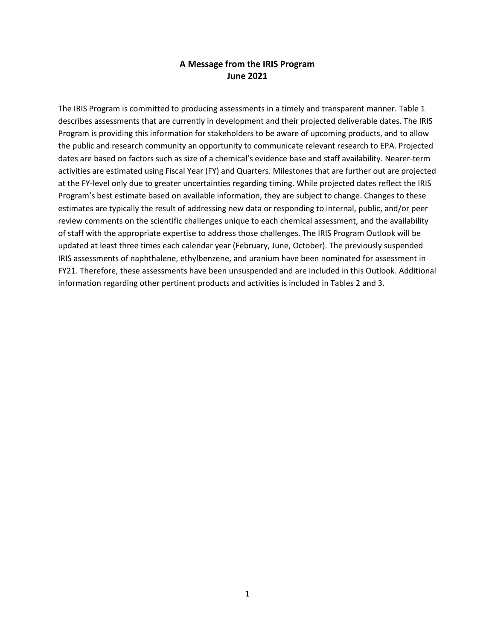## **A Message from the IRIS Program June 2021**

The IRIS Program is committed to producing assessments in a timely and transparent manner. Table 1 describes assessments that are currently in development and their projected deliverable dates. The IRIS Program is providing this information for stakeholders to be aware of upcoming products, and to allow the public and research community an opportunity to communicate relevant research to EPA. Projected dates are based on factors such as size of a chemical's evidence base and staff availability. Nearer-term activities are estimated using Fiscal Year (FY) and Quarters. Milestones that are further out are projected at the FY-level only due to greater uncertainties regarding timing. While projected dates reflect the IRIS Program's best estimate based on available information, they are subject to change. Changes to these estimates are typically the result of addressing new data or responding to internal, public, and/or peer review comments on the scientific challenges unique to each chemical assessment, and the availability of staff with the appropriate expertise to address those challenges. The IRIS Program Outlook will be updated at least three times each calendar year (February, June, October). The previously suspended IRIS assessments of naphthalene, ethylbenzene, and uranium have been nominated for assessment in FY21. Therefore, these assessments have been unsuspended and are included in this Outlook. Additional information regarding other pertinent products and activities is included in Tables 2 and 3.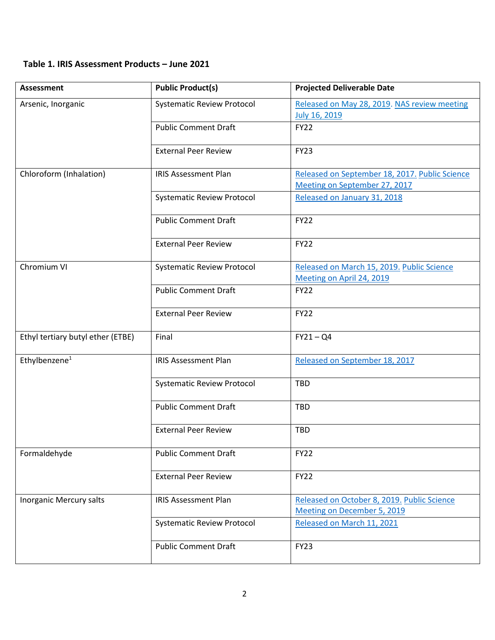## **Table 1. IRIS Assessment Products – June 2021**

| <b>Assessment</b>                 | <b>Public Product(s)</b>          | <b>Projected Deliverable Date</b>                                       |  |
|-----------------------------------|-----------------------------------|-------------------------------------------------------------------------|--|
| Arsenic, Inorganic                | <b>Systematic Review Protocol</b> | Released on May 28, 2019. NAS review meeting                            |  |
|                                   |                                   | July 16, 2019                                                           |  |
|                                   | <b>Public Comment Draft</b>       | <b>FY22</b>                                                             |  |
|                                   | <b>External Peer Review</b>       | <b>FY23</b>                                                             |  |
| Chloroform (Inhalation)           | <b>IRIS Assessment Plan</b>       | Released on September 18, 2017. Public Science                          |  |
|                                   |                                   | Meeting on September 27, 2017                                           |  |
|                                   | <b>Systematic Review Protocol</b> | Released on January 31, 2018                                            |  |
|                                   | <b>Public Comment Draft</b>       | <b>FY22</b>                                                             |  |
|                                   | <b>External Peer Review</b>       | <b>FY22</b>                                                             |  |
| Chromium VI                       | <b>Systematic Review Protocol</b> | Released on March 15, 2019. Public Science<br>Meeting on April 24, 2019 |  |
|                                   | <b>Public Comment Draft</b>       | <b>FY22</b>                                                             |  |
|                                   | <b>External Peer Review</b>       | <b>FY22</b>                                                             |  |
| Ethyl tertiary butyl ether (ETBE) | Final                             | $FY21 - Q4$                                                             |  |
| Ethylbenzene <sup>1</sup>         | <b>IRIS Assessment Plan</b>       | Released on September 18, 2017                                          |  |
|                                   | <b>Systematic Review Protocol</b> | <b>TBD</b>                                                              |  |
|                                   | <b>Public Comment Draft</b>       | TBD                                                                     |  |
|                                   | <b>External Peer Review</b>       | <b>TBD</b>                                                              |  |
| Formaldehyde                      | <b>Public Comment Draft</b>       | <b>FY22</b>                                                             |  |
|                                   | <b>External Peer Review</b>       | <b>FY22</b>                                                             |  |
| Inorganic Mercury salts           | <b>IRIS Assessment Plan</b>       | Released on October 8, 2019. Public Science                             |  |
|                                   |                                   | Meeting on December 5, 2019                                             |  |
|                                   | <b>Systematic Review Protocol</b> | Released on March 11, 2021                                              |  |
|                                   | <b>Public Comment Draft</b>       | <b>FY23</b>                                                             |  |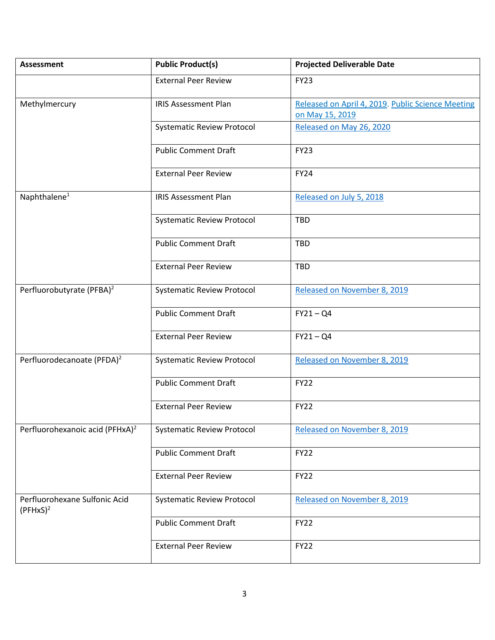| <b>Assessment</b>                            | <b>Public Product(s)</b>          | <b>Projected Deliverable Date</b>                                    |  |
|----------------------------------------------|-----------------------------------|----------------------------------------------------------------------|--|
|                                              | <b>External Peer Review</b>       | <b>FY23</b>                                                          |  |
| Methylmercury                                | <b>IRIS Assessment Plan</b>       | Released on April 4, 2019. Public Science Meeting<br>on May 15, 2019 |  |
|                                              | <b>Systematic Review Protocol</b> | Released on May 26, 2020                                             |  |
|                                              | <b>Public Comment Draft</b>       | <b>FY23</b>                                                          |  |
|                                              | <b>External Peer Review</b>       | <b>FY24</b>                                                          |  |
| Naphthalene <sup>1</sup>                     | <b>IRIS Assessment Plan</b>       | Released on July 5, 2018                                             |  |
|                                              | <b>Systematic Review Protocol</b> | TBD                                                                  |  |
|                                              | <b>Public Comment Draft</b>       | TBD                                                                  |  |
|                                              | <b>External Peer Review</b>       | TBD                                                                  |  |
| Perfluorobutyrate (PFBA) <sup>2</sup>        | <b>Systematic Review Protocol</b> | Released on November 8, 2019                                         |  |
|                                              | <b>Public Comment Draft</b>       | $FY21 - Q4$                                                          |  |
|                                              | <b>External Peer Review</b>       | $FY21 - Q4$                                                          |  |
| Perfluorodecanoate (PFDA) <sup>2</sup>       | <b>Systematic Review Protocol</b> | Released on November 8, 2019                                         |  |
|                                              | <b>Public Comment Draft</b>       | <b>FY22</b>                                                          |  |
|                                              | <b>External Peer Review</b>       | <b>FY22</b>                                                          |  |
| Perfluorohexanoic acid (PFHxA) <sup>2</sup>  | <b>Systematic Review Protocol</b> | Released on November 8, 2019                                         |  |
|                                              | <b>Public Comment Draft</b>       | <b>FY22</b>                                                          |  |
|                                              | <b>External Peer Review</b>       | <b>FY22</b>                                                          |  |
| Perfluorohexane Sulfonic Acid<br>$(PFHxS)^2$ | <b>Systematic Review Protocol</b> | Released on November 8, 2019                                         |  |
|                                              | <b>Public Comment Draft</b>       | <b>FY22</b>                                                          |  |
|                                              | <b>External Peer Review</b>       | <b>FY22</b>                                                          |  |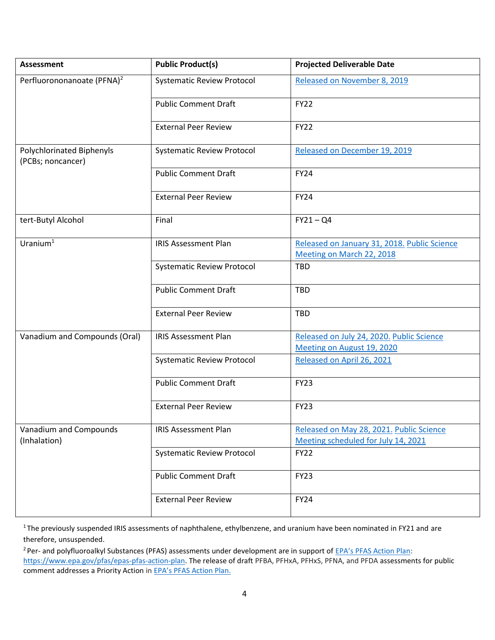| <b>Assessment</b>                              | <b>Public Product(s)</b>          | <b>Projected Deliverable Date</b>                                               |
|------------------------------------------------|-----------------------------------|---------------------------------------------------------------------------------|
| Perfluorononanoate (PFNA) <sup>2</sup>         | <b>Systematic Review Protocol</b> | Released on November 8, 2019                                                    |
|                                                | <b>Public Comment Draft</b>       | <b>FY22</b>                                                                     |
|                                                | <b>External Peer Review</b>       | <b>FY22</b>                                                                     |
| Polychlorinated Biphenyls<br>(PCBs; noncancer) | <b>Systematic Review Protocol</b> | Released on December 19, 2019                                                   |
|                                                | <b>Public Comment Draft</b>       | <b>FY24</b>                                                                     |
|                                                | <b>External Peer Review</b>       | <b>FY24</b>                                                                     |
| tert-Butyl Alcohol                             | Final                             | $FY21 - Q4$                                                                     |
| Uranium $1$                                    | <b>IRIS Assessment Plan</b>       | Released on January 31, 2018. Public Science<br>Meeting on March 22, 2018       |
|                                                | <b>Systematic Review Protocol</b> | <b>TBD</b>                                                                      |
|                                                | <b>Public Comment Draft</b>       | <b>TBD</b>                                                                      |
|                                                | <b>External Peer Review</b>       | <b>TBD</b>                                                                      |
| Vanadium and Compounds (Oral)                  | <b>IRIS Assessment Plan</b>       | Released on July 24, 2020. Public Science<br>Meeting on August 19, 2020         |
|                                                | <b>Systematic Review Protocol</b> | Released on April 26, 2021                                                      |
|                                                | <b>Public Comment Draft</b>       | <b>FY23</b>                                                                     |
|                                                | <b>External Peer Review</b>       | <b>FY23</b>                                                                     |
| Vanadium and Compounds<br>(Inhalation)         | <b>IRIS Assessment Plan</b>       | Released on May 28, 2021. Public Science<br>Meeting scheduled for July 14, 2021 |
|                                                | <b>Systematic Review Protocol</b> | <b>FY22</b>                                                                     |
|                                                | <b>Public Comment Draft</b>       | <b>FY23</b>                                                                     |
|                                                | <b>External Peer Review</b>       | <b>FY24</b>                                                                     |

<sup>1</sup> The previously suspended IRIS assessments of naphthalene, ethylbenzene, and uranium have been nominated in FY21 and are therefore, unsuspended.

<sup>2</sup> Per- and polyfluoroalkyl Substances (PFAS) assessments under development are in support of [EPA's PFAS Action Plan](https://www.epa.gov/pfas/epas-pfas-action-plan): [https://www.epa.gov/pfas/epas-pfas-action-plan.](https://www.epa.gov/pfas/epas-pfas-action-plan) The release of draft PFBA, PFHxA, PFHxS, PFNA, and PFDA assessments for public comment addresses a Priority Action in [EPA's PFAS Action Plan](https://www.epa.gov/sites/production/files/2019-02/documents/pfas_action_plan_021319_508compliant_1.pdf).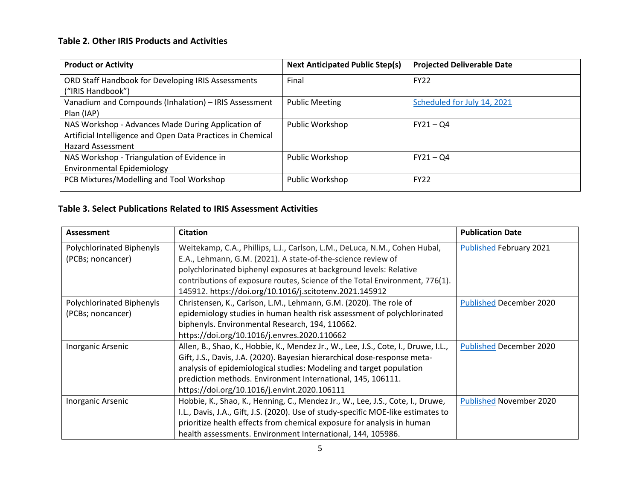## **Table 2. Other IRIS Products and Activities**

| <b>Product or Activity</b>                                                                                                                    | <b>Next Anticipated Public Step(s)</b> | <b>Projected Deliverable Date</b> |
|-----------------------------------------------------------------------------------------------------------------------------------------------|----------------------------------------|-----------------------------------|
| ORD Staff Handbook for Developing IRIS Assessments<br>("IRIS Handbook")                                                                       | Final                                  | <b>FY22</b>                       |
| Vanadium and Compounds (Inhalation) - IRIS Assessment<br>Plan (IAP)                                                                           | <b>Public Meeting</b>                  | Scheduled for July 14, 2021       |
| NAS Workshop - Advances Made During Application of<br>Artificial Intelligence and Open Data Practices in Chemical<br><b>Hazard Assessment</b> | Public Workshop                        | $FY21 - Q4$                       |
| NAS Workshop - Triangulation of Evidence in<br><b>Environmental Epidemiology</b>                                                              | Public Workshop                        | $FY21 - Q4$                       |
| PCB Mixtures/Modelling and Tool Workshop                                                                                                      | Public Workshop                        | <b>FY22</b>                       |

## **Table 3. Select Publications Related to IRIS Assessment Activities**

| Assessment                | <b>Citation</b>                                                                    | <b>Publication Date</b>        |
|---------------------------|------------------------------------------------------------------------------------|--------------------------------|
| Polychlorinated Biphenyls | Weitekamp, C.A., Phillips, L.J., Carlson, L.M., DeLuca, N.M., Cohen Hubal,         | <b>Published February 2021</b> |
| (PCBs; noncancer)         | E.A., Lehmann, G.M. (2021). A state-of-the-science review of                       |                                |
|                           | polychlorinated biphenyl exposures at background levels: Relative                  |                                |
|                           | contributions of exposure routes, Science of the Total Environment, 776(1).        |                                |
|                           | 145912. https://doi.org/10.1016/j.scitotenv.2021.145912                            |                                |
| Polychlorinated Biphenyls | Christensen, K., Carlson, L.M., Lehmann, G.M. (2020). The role of                  | <b>Published December 2020</b> |
| (PCBs; noncancer)         | epidemiology studies in human health risk assessment of polychlorinated            |                                |
|                           | biphenyls. Environmental Research, 194, 110662.                                    |                                |
|                           | https://doi.org/10.1016/j.envres.2020.110662                                       |                                |
| Inorganic Arsenic         | Allen, B., Shao, K., Hobbie, K., Mendez Jr., W., Lee, J.S., Cote, I., Druwe, I.L., | <b>Published December 2020</b> |
|                           | Gift, J.S., Davis, J.A. (2020). Bayesian hierarchical dose-response meta-          |                                |
|                           | analysis of epidemiological studies: Modeling and target population                |                                |
|                           | prediction methods. Environment International, 145, 106111.                        |                                |
|                           | https://doi.org/10.1016/j.envint.2020.106111                                       |                                |
| Inorganic Arsenic         | Hobbie, K., Shao, K., Henning, C., Mendez Jr., W., Lee, J.S., Cote, I., Druwe,     | <b>Published November 2020</b> |
|                           | I.L., Davis, J.A., Gift, J.S. (2020). Use of study-specific MOE-like estimates to  |                                |
|                           | prioritize health effects from chemical exposure for analysis in human             |                                |
|                           | health assessments. Environment International, 144, 105986.                        |                                |